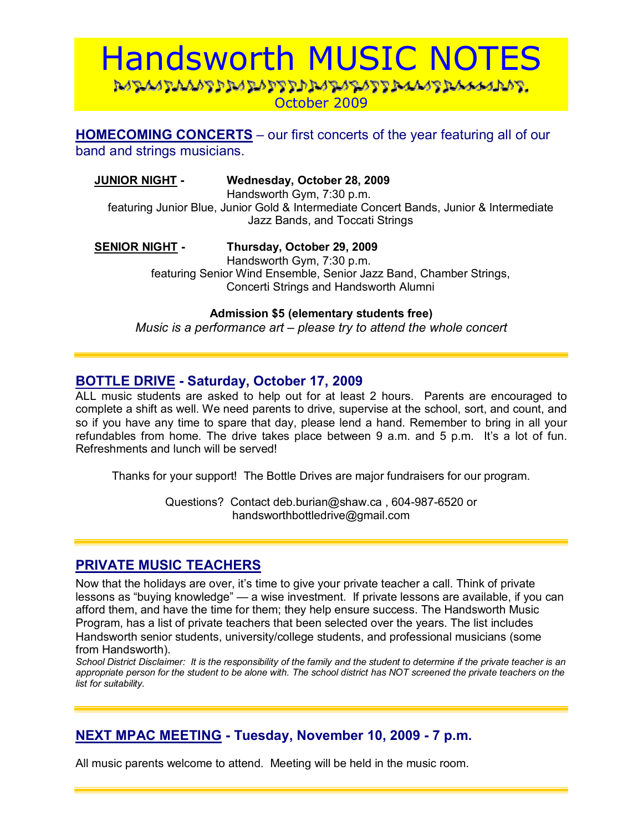# Handsworth MUSIC NOTES DADAADAAADDDADADDDDADADDDDAAADDAAAADADDD October 2009

**HOMECOMING CONCERTS** – our first concerts of the year featuring all of our band and strings musicians.

## **JUNIOR NIGHT - Wednesday, October 28, 2009**

Handsworth Gym, 7:30 p.m.

featuring Junior Blue, Junior Gold & Intermediate Concert Bands, Junior & Intermediate Jazz Bands, and Toccati Strings

## **SENIOR NIGHT - Thursday, October 29, 2009**

Handsworth Gym, 7:30 p.m. featuring Senior Wind Ensemble, Senior Jazz Band, Chamber Strings, Concerti Strings and Handsworth Alumni

**Admission \$5 (elementary students free)** 

*Music is a performance art – please try to attend the whole concert* 

## **BOTTLE DRIVE - Saturday, October 17, 2009**

ALL music students are asked to help out for at least 2 hours. Parents are encouraged to complete a shift as well. We need parents to drive, supervise at the school, sort, and count, and so if you have any time to spare that day, please lend a hand. Remember to bring in all your refundables from home. The drive takes place between 9 a.m. and 5 p.m. Itís a lot of fun. Refreshments and lunch will be served!

Thanks for your support! The Bottle Drives are major fundraisers for our program.

Questions? Contact deb.burian@shaw.ca , 604-987-6520 or handsworthbottledrive@gmail.com

## **PRIVATE MUSIC TEACHERS**

Now that the holidays are over, it's time to give your private teacher a call. Think of private lessons as "buying knowledge" — a wise investment. If private lessons are available, if you can afford them, and have the time for them; they help ensure success. The Handsworth Music Program, has a list of private teachers that been selected over the years. The list includes Handsworth senior students, university/college students, and professional musicians (some from Handsworth).

*School District Disclaimer: It is the responsibility of the family and the student to determine if the private teacher is an appropriate person for the student to be alone with. The school district has NOT screened the private teachers on the list for suitability.* 

# **NEXT MPAC MEETING - Tuesday, November 10, 2009 - 7 p.m.**

All music parents welcome to attend. Meeting will be held in the music room.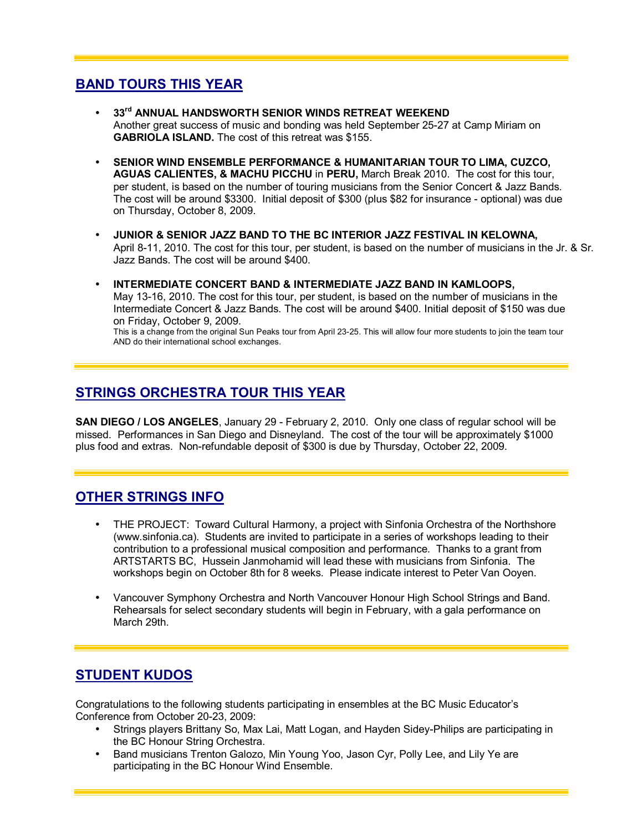# **BAND TOURS THIS YEAR**

- **33rd ANNUAL HANDSWORTH SENIOR WINDS RETREAT WEEKEND**  Another great success of music and bonding was held September 25-27 at Camp Miriam on **GABRIOLA ISLAND.** The cost of this retreat was \$155.
- **SENIOR WIND ENSEMBLE PERFORMANCE & HUMANITARIAN TOUR TO LIMA, CUZCO, AGUAS CALIENTES, & MACHU PICCHU** in **PERU,** March Break 2010. The cost for this tour, per student, is based on the number of touring musicians from the Senior Concert & Jazz Bands. The cost will be around \$3300. Initial deposit of \$300 (plus \$82 for insurance - optional) was due on Thursday, October 8, 2009.
- **JUNIOR & SENIOR JAZZ BAND TO THE BC INTERIOR JAZZ FESTIVAL IN KELOWNA,**  April 8-11, 2010. The cost for this tour, per student, is based on the number of musicians in the Jr. & Sr. Jazz Bands. The cost will be around \$400.
- **INTERMEDIATE CONCERT BAND & INTERMEDIATE JAZZ BAND IN KAMLOOPS,**  May 13-16, 2010. The cost for this tour, per student, is based on the number of musicians in the Intermediate Concert & Jazz Bands. The cost will be around \$400. Initial deposit of \$150 was due on Friday, October 9, 2009.

This is a change from the original Sun Peaks tour from April 23-25. This will allow four more students to join the team tour AND do their international school exchanges.

# **STRINGS ORCHESTRA TOUR THIS YEAR**

**SAN DIEGO / LOS ANGELES**, January 29 - February 2, 2010. Only one class of regular school will be missed. Performances in San Diego and Disneyland. The cost of the tour will be approximately \$1000 plus food and extras. Non-refundable deposit of \$300 is due by Thursday, October 22, 2009.

# **OTHER STRINGS INFO**

- THE PROJECT: Toward Cultural Harmony, a project with Sinfonia Orchestra of the Northshore (www.sinfonia.ca). Students are invited to participate in a series of workshops leading to their contribution to a professional musical composition and performance. Thanks to a grant from ARTSTARTS BC, Hussein Janmohamid will lead these with musicians from Sinfonia. The workshops begin on October 8th for 8 weeks. Please indicate interest to Peter Van Ooyen.
- Vancouver Symphony Orchestra and North Vancouver Honour High School Strings and Band. Rehearsals for select secondary students will begin in February, with a gala performance on March 29th.

# **STUDENT KUDOS**

Congratulations to the following students participating in ensembles at the BC Music Educatorís Conference from October 20-23, 2009:

- Strings players Brittany So, Max Lai, Matt Logan, and Hayden Sidey-Philips are participating in the BC Honour String Orchestra.
- Band musicians Trenton Galozo, Min Young Yoo, Jason Cyr, Polly Lee, and Lily Ye are participating in the BC Honour Wind Ensemble.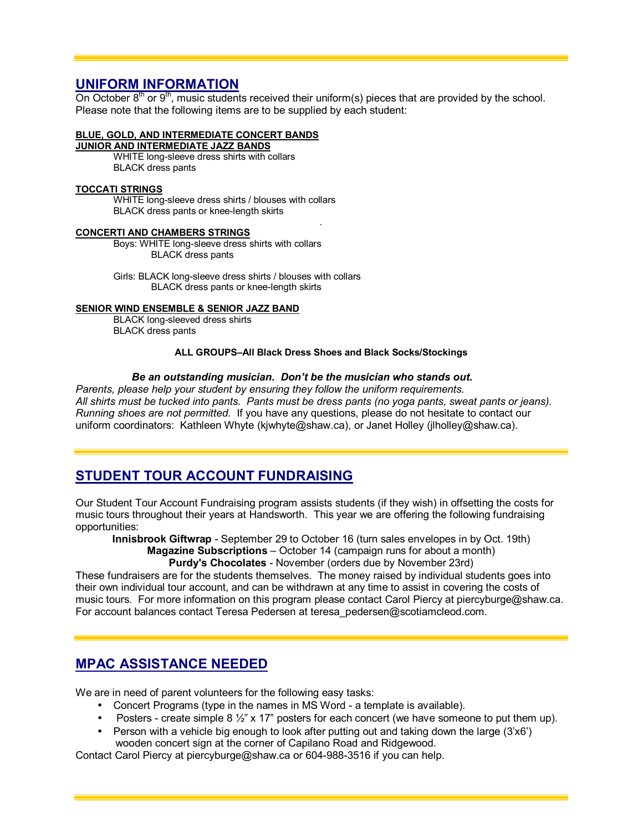## **UNIFORM INFORMATION**

On October  $8<sup>th</sup>$  or  $9<sup>th</sup>$ , music students received their uniform(s) pieces that are provided by the school. Please note that the following items are to be supplied by each student:

### **BLUE, GOLD, AND INTERMEDIATE CONCERT BANDS**

**JUNIOR AND INTERMEDIATE JAZZ BANDS**

WHITE long-sleeve dress shirts with collars BLACK dress pants

#### **TOCCATI STRINGS**

WHITE long-sleeve dress shirts / blouses with collars BLACK dress pants or knee-length skirts

#### **CONCERTI AND CHAMBERS STRINGS**

Boys: WHITE long-sleeve dress shirts with collars BLACK dress pants

Girls: BLACK long-sleeve dress shirts / blouses with collars BLACK dress pants or knee-length skirts

#### **SENIOR WIND ENSEMBLE & SENIOR JAZZ BAND**

BLACK long-sleeved dress shirts BLACK dress pants

#### **ALL GROUPS-All Black Dress Shoes and Black Socks/Stockings**

*.*

#### *Be an outstanding musician. Donít be the musician who stands out.*

*Parents, please help your student by ensuring they follow the uniform requirements. All shirts must be tucked into pants. Pants must be dress pants (no yoga pants, sweat pants or jeans). Running shoes are not permitted.* If you have any questions, please do not hesitate to contact our uniform coordinators: Kathleen Whyte (kjwhyte@shaw.ca), or Janet Holley (jlholley@shaw.ca).

# **STUDENT TOUR ACCOUNT FUNDRAISING**

Our Student Tour Account Fundraising program assists students (if they wish) in offsetting the costs for music tours throughout their years at Handsworth. This year we are offering the following fundraising opportunities:

**Innisbrook Giftwrap** - September 29 to October 16 (turn sales envelopes in by Oct. 19th) **Magazine Subscriptions** – October 14 (campaign runs for about a month)

**Purdy's Chocolates** - November (orders due by November 23rd)

These fundraisers are for the students themselves. The money raised by individual students goes into their own individual tour account, and can be withdrawn at any time to assist in covering the costs of music tours. For more information on this program please contact Carol Piercy at piercyburge@shaw.ca. For account balances contact Teresa Pedersen at teresa\_pedersen@scotiamcleod.com.

# **MPAC ASSISTANCE NEEDED**

We are in need of parent volunteers for the following easy tasks:

- Concert Programs (type in the names in MS Word a template is available).
- Posters create simple 8  $\frac{1}{2}$ " x 17" posters for each concert (we have someone to put them up).
- Person with a vehicle big enough to look after putting out and taking down the large  $(3x6)$

wooden concert sign at the corner of Capilano Road and Ridgewood.

Contact Carol Piercy at piercyburge@shaw.ca or 604-988-3516 if you can help.